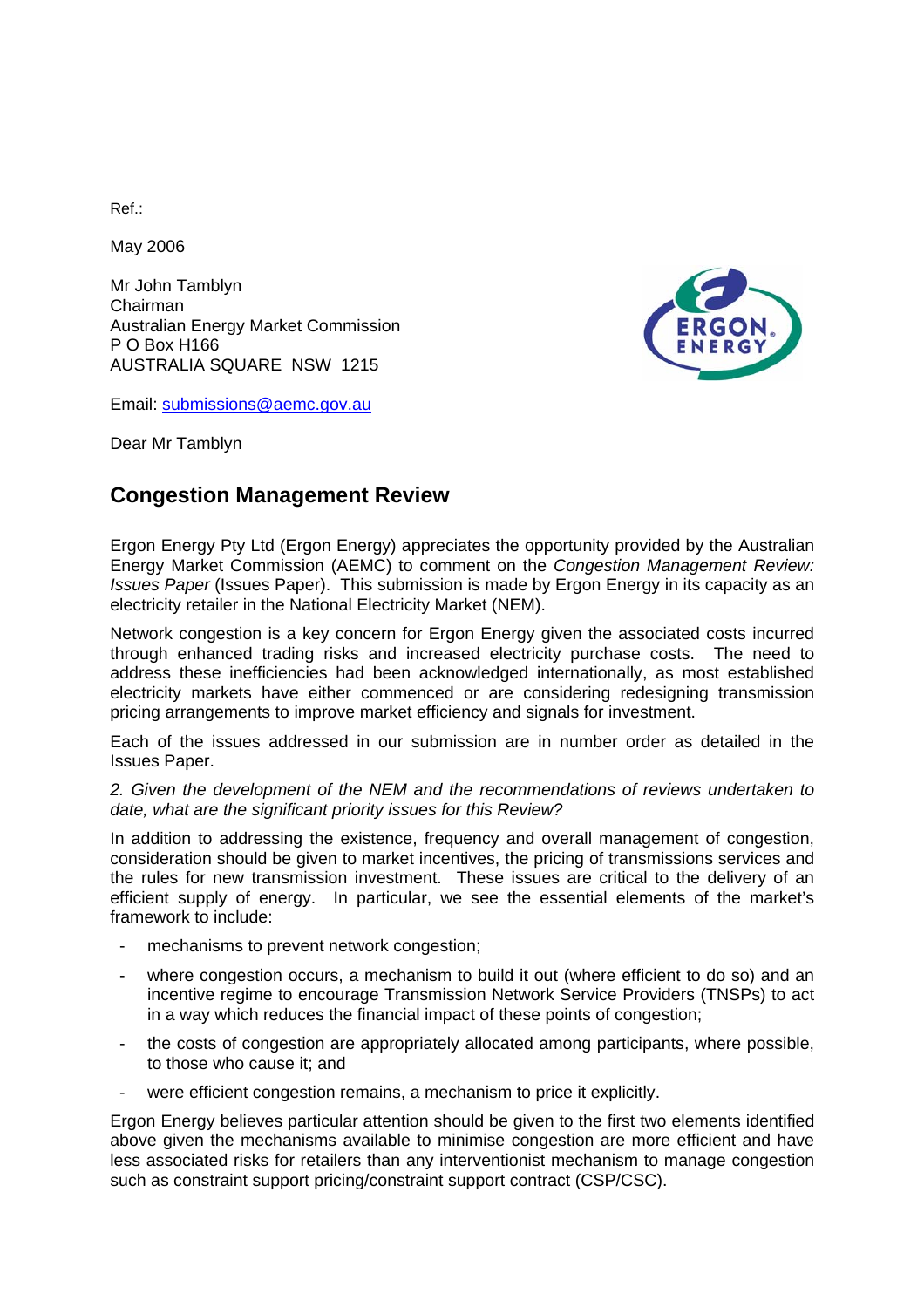Ref.:

May 2006

Mr John Tamblyn Chairman Australian Energy Market Commission P O Box H166 AUSTRALIA SQUARE NSW 1215

Email: [submissions@aemc.gov.au](mailto:submissions@aemc.gov.au)

Dear Mr Tamblyn

# **Congestion Management Review**

Ergon Energy Pty Ltd (Ergon Energy) appreciates the opportunity provided by the Australian Energy Market Commission (AEMC) to comment on the *Congestion Management Review: Issues Paper* (Issues Paper). This submission is made by Ergon Energy in its capacity as an electricity retailer in the National Electricity Market (NEM).

Network congestion is a key concern for Ergon Energy given the associated costs incurred through enhanced trading risks and increased electricity purchase costs. The need to address these inefficiencies had been acknowledged internationally, as most established electricity markets have either commenced or are considering redesigning transmission pricing arrangements to improve market efficiency and signals for investment.

Each of the issues addressed in our submission are in number order as detailed in the Issues Paper.

*2. Given the development of the NEM and the recommendations of reviews undertaken to date, what are the significant priority issues for this Review?* 

In addition to addressing the existence, frequency and overall management of congestion, consideration should be given to market incentives, the pricing of transmissions services and the rules for new transmission investment. These issues are critical to the delivery of an efficient supply of energy. In particular, we see the essential elements of the market's framework to include:

- mechanisms to prevent network congestion;
- where congestion occurs, a mechanism to build it out (where efficient to do so) and an incentive regime to encourage Transmission Network Service Providers (TNSPs) to act in a way which reduces the financial impact of these points of congestion;
- the costs of congestion are appropriately allocated among participants, where possible, to those who cause it; and
- were efficient congestion remains, a mechanism to price it explicitly.

Ergon Energy believes particular attention should be given to the first two elements identified above given the mechanisms available to minimise congestion are more efficient and have less associated risks for retailers than any interventionist mechanism to manage congestion such as constraint support pricing/constraint support contract (CSP/CSC).

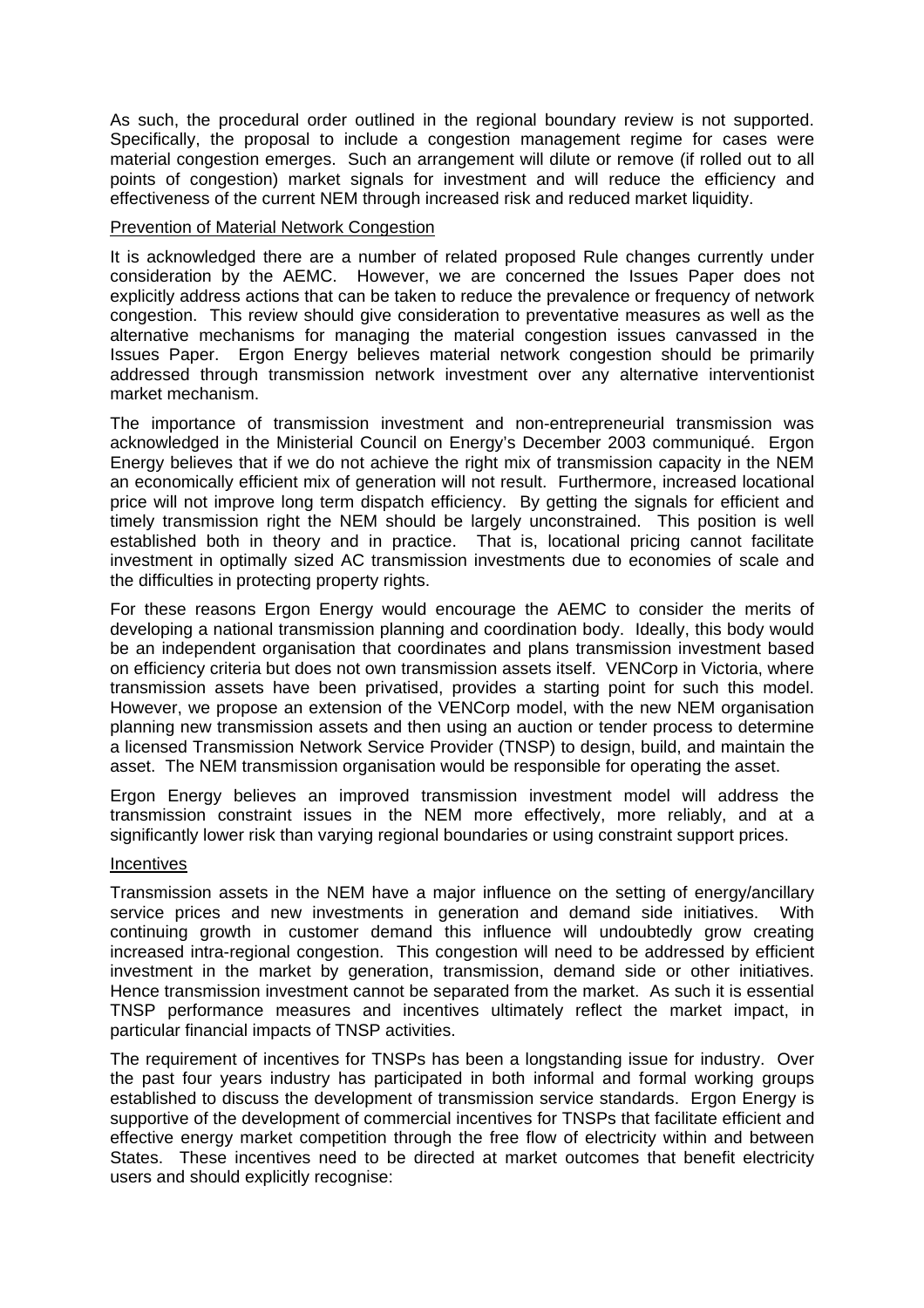As such, the procedural order outlined in the regional boundary review is not supported. Specifically, the proposal to include a congestion management regime for cases were material congestion emerges. Such an arrangement will dilute or remove (if rolled out to all points of congestion) market signals for investment and will reduce the efficiency and effectiveness of the current NEM through increased risk and reduced market liquidity.

### Prevention of Material Network Congestion

It is acknowledged there are a number of related proposed Rule changes currently under consideration by the AEMC. However, we are concerned the Issues Paper does not explicitly address actions that can be taken to reduce the prevalence or frequency of network congestion. This review should give consideration to preventative measures as well as the alternative mechanisms for managing the material congestion issues canvassed in the Issues Paper. Ergon Energy believes material network congestion should be primarily addressed through transmission network investment over any alternative interventionist market mechanism.

The importance of transmission investment and non-entrepreneurial transmission was acknowledged in the Ministerial Council on Energy's December 2003 communiqué. Ergon Energy believes that if we do not achieve the right mix of transmission capacity in the NEM an economically efficient mix of generation will not result. Furthermore, increased locational price will not improve long term dispatch efficiency. By getting the signals for efficient and timely transmission right the NEM should be largely unconstrained. This position is well established both in theory and in practice. That is, locational pricing cannot facilitate investment in optimally sized AC transmission investments due to economies of scale and the difficulties in protecting property rights.

For these reasons Ergon Energy would encourage the AEMC to consider the merits of developing a national transmission planning and coordination body. Ideally, this body would be an independent organisation that coordinates and plans transmission investment based on efficiency criteria but does not own transmission assets itself. VENCorp in Victoria, where transmission assets have been privatised, provides a starting point for such this model. However, we propose an extension of the VENCorp model, with the new NEM organisation planning new transmission assets and then using an auction or tender process to determine a licensed Transmission Network Service Provider (TNSP) to design, build, and maintain the asset. The NEM transmission organisation would be responsible for operating the asset.

Ergon Energy believes an improved transmission investment model will address the transmission constraint issues in the NEM more effectively, more reliably, and at a significantly lower risk than varying regional boundaries or using constraint support prices.

# Incentives

Transmission assets in the NEM have a major influence on the setting of energy/ancillary service prices and new investments in generation and demand side initiatives. With continuing growth in customer demand this influence will undoubtedly grow creating increased intra-regional congestion. This congestion will need to be addressed by efficient investment in the market by generation, transmission, demand side or other initiatives. Hence transmission investment cannot be separated from the market. As such it is essential TNSP performance measures and incentives ultimately reflect the market impact, in particular financial impacts of TNSP activities.

The requirement of incentives for TNSPs has been a longstanding issue for industry. Over the past four years industry has participated in both informal and formal working groups established to discuss the development of transmission service standards. Ergon Energy is supportive of the development of commercial incentives for TNSPs that facilitate efficient and effective energy market competition through the free flow of electricity within and between States. These incentives need to be directed at market outcomes that benefit electricity users and should explicitly recognise: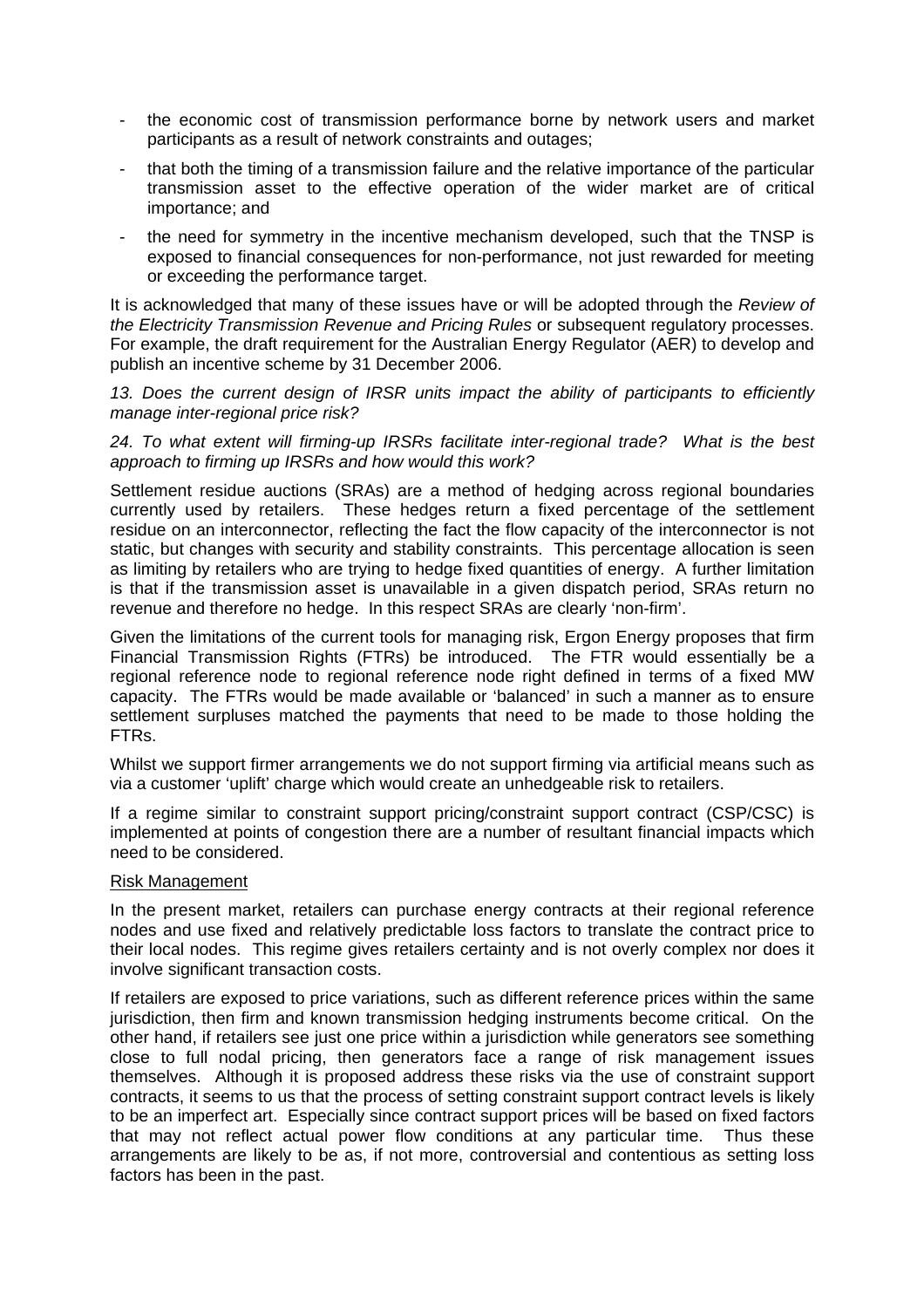- the economic cost of transmission performance borne by network users and market participants as a result of network constraints and outages;
- that both the timing of a transmission failure and the relative importance of the particular transmission asset to the effective operation of the wider market are of critical importance; and
- the need for symmetry in the incentive mechanism developed, such that the TNSP is exposed to financial consequences for non-performance, not just rewarded for meeting or exceeding the performance target.

It is acknowledged that many of these issues have or will be adopted through the *Review of the Electricity Transmission Revenue and Pricing Rules* or subsequent regulatory processes. For example, the draft requirement for the Australian Energy Regulator (AER) to develop and publish an incentive scheme by 31 December 2006.

*13. Does the current design of IRSR units impact the ability of participants to efficiently manage inter-regional price risk?* 

## *24. To what extent will firming-up IRSRs facilitate inter-regional trade? What is the best approach to firming up IRSRs and how would this work?*

Settlement residue auctions (SRAs) are a method of hedging across regional boundaries currently used by retailers. These hedges return a fixed percentage of the settlement residue on an interconnector, reflecting the fact the flow capacity of the interconnector is not static, but changes with security and stability constraints. This percentage allocation is seen as limiting by retailers who are trying to hedge fixed quantities of energy. A further limitation is that if the transmission asset is unavailable in a given dispatch period, SRAs return no revenue and therefore no hedge. In this respect SRAs are clearly 'non-firm'.

Given the limitations of the current tools for managing risk, Ergon Energy proposes that firm Financial Transmission Rights (FTRs) be introduced. The FTR would essentially be a regional reference node to regional reference node right defined in terms of a fixed MW capacity. The FTRs would be made available or 'balanced' in such a manner as to ensure settlement surpluses matched the payments that need to be made to those holding the FTRs.

Whilst we support firmer arrangements we do not support firming via artificial means such as via a customer 'uplift' charge which would create an unhedgeable risk to retailers.

If a regime similar to constraint support pricing/constraint support contract (CSP/CSC) is implemented at points of congestion there are a number of resultant financial impacts which need to be considered.

# Risk Management

In the present market, retailers can purchase energy contracts at their regional reference nodes and use fixed and relatively predictable loss factors to translate the contract price to their local nodes. This regime gives retailers certainty and is not overly complex nor does it involve significant transaction costs.

If retailers are exposed to price variations, such as different reference prices within the same jurisdiction, then firm and known transmission hedging instruments become critical. On the other hand, if retailers see just one price within a jurisdiction while generators see something close to full nodal pricing, then generators face a range of risk management issues themselves. Although it is proposed address these risks via the use of constraint support contracts, it seems to us that the process of setting constraint support contract levels is likely to be an imperfect art. Especially since contract support prices will be based on fixed factors that may not reflect actual power flow conditions at any particular time. Thus these arrangements are likely to be as, if not more, controversial and contentious as setting loss factors has been in the past.